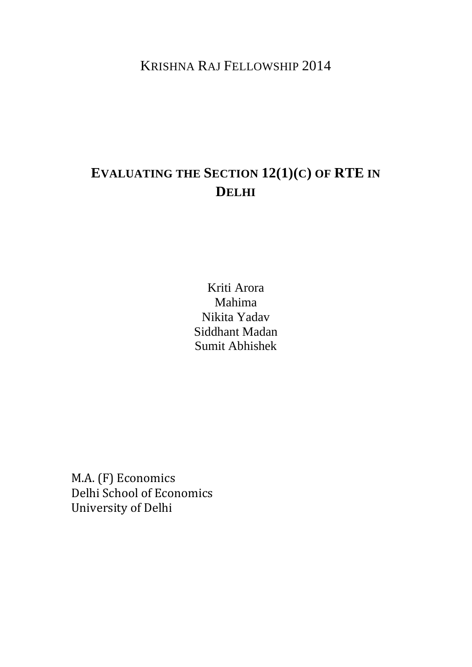KRISHNA RAJ FELLOWSHIP 2014

# **EVALUATING THE SECTION 12(1)(C) OF RTE IN DELHI**

Kriti Arora Mahima Nikita Yadav Siddhant Madan Sumit Abhishek

M.A. (F) Economics Delhi School of Economics University of Delhi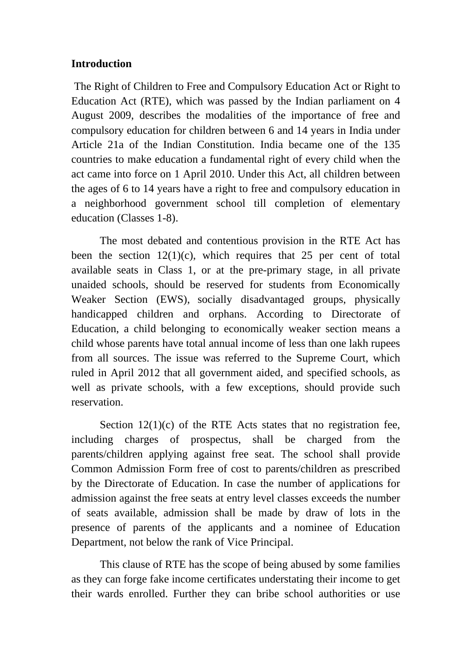#### **Introduction**

The Right of Children to Free and Compulsory Education Act or Right to Education Act (RTE), which was passed by the Indian parliament on 4 August 2009, describes the modalities of the importance of free and compulsory education for children between 6 and 14 years in India under Article 21a of the Indian Constitution. India became one of the 135 countries to make education a fundamental right of every child when the act came into force on 1 April 2010. Under this Act, all children between the ages of 6 to 14 years have a right to free and compulsory education in a neighborhood government school till completion of elementary education (Classes 1-8).

The most debated and contentious provision in the RTE Act has been the section  $12(1)(c)$ , which requires that 25 per cent of total available seats in Class 1, or at the pre-primary stage, in all private unaided schools, should be reserved for students from Economically Weaker Section (EWS), socially disadvantaged groups, physically handicapped children and orphans. According to Directorate of Education, a child belonging to economically weaker section means a child whose parents have total annual income of less than one lakh rupees from all sources. The issue was referred to the Supreme Court, which ruled in April 2012 that all government aided, and specified schools, as well as private schools, with a few exceptions, should provide such reservation.

Section  $12(1)(c)$  of the RTE Acts states that no registration fee, including charges of prospectus, shall be charged from the parents/children applying against free seat. The school shall provide Common Admission Form free of cost to parents/children as prescribed by the Directorate of Education. In case the number of applications for admission against the free seats at entry level classes exceeds the number of seats available, admission shall be made by draw of lots in the presence of parents of the applicants and a nominee of Education Department, not below the rank of Vice Principal.

This clause of RTE has the scope of being abused by some families as they can forge fake income certificates understating their income to get their wards enrolled. Further they can bribe school authorities or use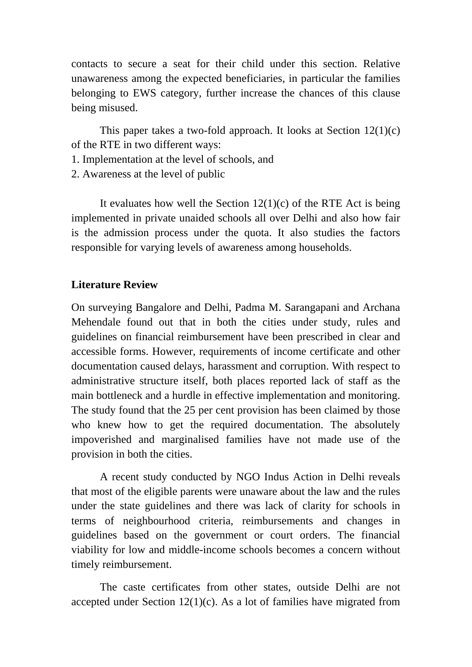contacts to secure a seat for their child under this section. Relative unawareness among the expected beneficiaries, in particular the families belonging to EWS category, further increase the chances of this clause being misused.

This paper takes a two-fold approach. It looks at Section 12(1)(c) of the RTE in two different ways:

- 1. Implementation at the level of schools, and
- 2. Awareness at the level of public

It evaluates how well the Section  $12(1)(c)$  of the RTE Act is being implemented in private unaided schools all over Delhi and also how fair is the admission process under the quota. It also studies the factors responsible for varying levels of awareness among households.

#### **Literature Review**

On surveying Bangalore and Delhi, Padma M. Sarangapani and Archana Mehendale found out that in both the cities under study, rules and guidelines on financial reimbursement have been prescribed in clear and accessible forms. However, requirements of income certificate and other documentation caused delays, harassment and corruption. With respect to administrative structure itself, both places reported lack of staff as the main bottleneck and a hurdle in effective implementation and monitoring. The study found that the 25 per cent provision has been claimed by those who knew how to get the required documentation. The absolutely impoverished and marginalised families have not made use of the provision in both the cities.

A recent study conducted by NGO Indus Action in Delhi reveals that most of the eligible parents were unaware about the law and the rules under the state guidelines and there was lack of clarity for schools in terms of neighbourhood criteria, reimbursements and changes in guidelines based on the government or court orders. The financial viability for low and middle-income schools becomes a concern without timely reimbursement.

The caste certificates from other states, outside Delhi are not accepted under Section  $12(1)(c)$ . As a lot of families have migrated from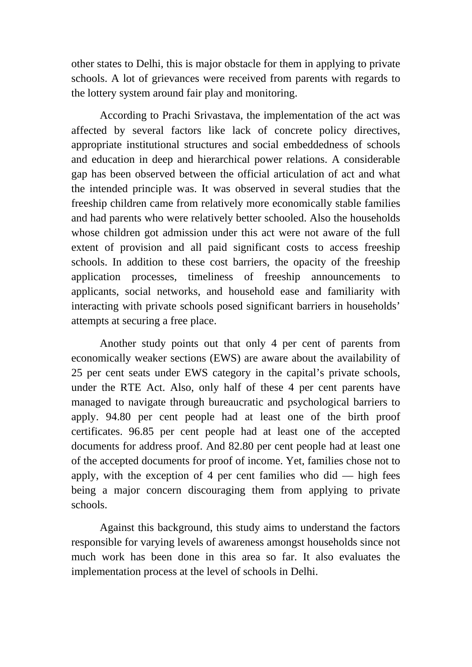other states to Delhi, this is major obstacle for them in applying to private schools. A lot of grievances were received from parents with regards to the lottery system around fair play and monitoring.

According to Prachi Srivastava, the implementation of the act was affected by several factors like lack of concrete policy directives, appropriate institutional structures and social embeddedness of schools and education in deep and hierarchical power relations. A considerable gap has been observed between the official articulation of act and what the intended principle was. It was observed in several studies that the freeship children came from relatively more economically stable families and had parents who were relatively better schooled. Also the households whose children got admission under this act were not aware of the full extent of provision and all paid significant costs to access freeship schools. In addition to these cost barriers, the opacity of the freeship application processes, timeliness of freeship announcements to applicants, social networks, and household ease and familiarity with interacting with private schools posed significant barriers in households' attempts at securing a free place.

Another study points out that only 4 per cent of parents from economically weaker sections (EWS) are aware about the availability of 25 per cent seats under EWS category in the capital's private schools, under the RTE Act. Also, only half of these 4 per cent parents have managed to navigate through bureaucratic and psychological barriers to apply. 94.80 per cent people had at least one of the birth proof certificates. 96.85 per cent people had at least one of the accepted documents for address proof. And 82.80 per cent people had at least one of the accepted documents for proof of income. Yet, families chose not to apply, with the exception of 4 per cent families who did  $-$  high fees being a major concern discouraging them from applying to private schools.

Against this background, this study aims to understand the factors responsible for varying levels of awareness amongst households since not much work has been done in this area so far. It also evaluates the implementation process at the level of schools in Delhi.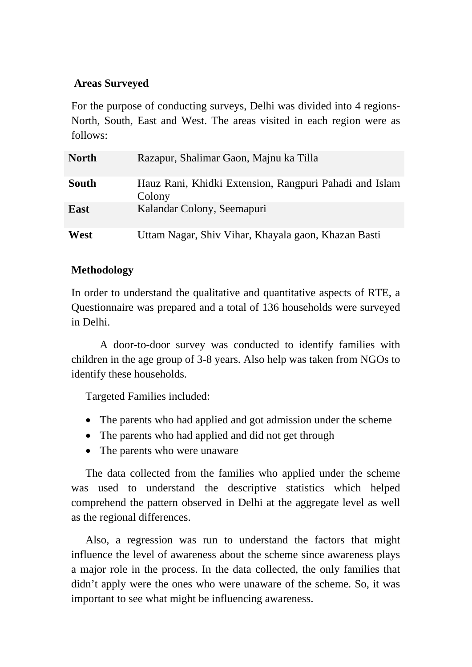### **Areas Surveyed**

For the purpose of conducting surveys, Delhi was divided into 4 regions-North, South, East and West. The areas visited in each region were as follows:

| <b>North</b> | Razapur, Shalimar Gaon, Majnu ka Tilla                           |
|--------------|------------------------------------------------------------------|
| <b>South</b> | Hauz Rani, Khidki Extension, Rangpuri Pahadi and Islam<br>Colony |
| <b>East</b>  | Kalandar Colony, Seemapuri                                       |
| West         | Uttam Nagar, Shiv Vihar, Khayala gaon, Khazan Basti              |

### **Methodology**

In order to understand the qualitative and quantitative aspects of RTE, a Questionnaire was prepared and a total of 136 households were surveyed in Delhi.

A door-to-door survey was conducted to identify families with children in the age group of 3-8 years. Also help was taken from NGOs to identify these households.

Targeted Families included:

- The parents who had applied and got admission under the scheme
- The parents who had applied and did not get through
- The parents who were unaware

The data collected from the families who applied under the scheme was used to understand the descriptive statistics which helped comprehend the pattern observed in Delhi at the aggregate level as well as the regional differences.

Also, a regression was run to understand the factors that might influence the level of awareness about the scheme since awareness plays a major role in the process. In the data collected, the only families that didn't apply were the ones who were unaware of the scheme. So, it was important to see what might be influencing awareness.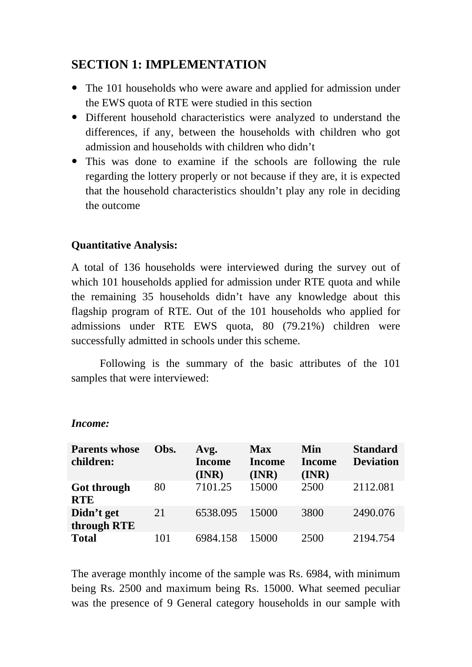## **SECTION 1: IMPLEMENTATION**

- The 101 households who were aware and applied for admission under the EWS quota of RTE were studied in this section
- Different household characteristics were analyzed to understand the differences, if any, between the households with children who got admission and households with children who didn't
- This was done to examine if the schools are following the rule regarding the lottery properly or not because if they are, it is expected that the household characteristics shouldn't play any role in deciding the outcome

### **Quantitative Analysis:**

A total of 136 households were interviewed during the survey out of which 101 households applied for admission under RTE quota and while the remaining 35 households didn't have any knowledge about this flagship program of RTE. Out of the 101 households who applied for admissions under RTE EWS quota, 80 (79.21%) children were successfully admitted in schools under this scheme.

Following is the summary of the basic attributes of the 101 samples that were interviewed:

| <b>Parents whose</b><br>children: | Obs. | Avg.<br><b>Income</b><br>(INR) | <b>Max</b><br><b>Income</b><br>(INR) | Min<br><b>Income</b><br>(INR) | <b>Standard</b><br><b>Deviation</b> |
|-----------------------------------|------|--------------------------------|--------------------------------------|-------------------------------|-------------------------------------|
| <b>Got through</b><br><b>RTE</b>  | 80   | 7101.25                        | 15000                                | 2500                          | 2112.081                            |
| Didn't get<br>through RTE         | 21   | 6538.095                       | 15000                                | 3800                          | 2490.076                            |
| <b>Total</b>                      | 101  | 6984.158                       | 15000                                | 2500                          | 2194.754                            |

*Income:*

The average monthly income of the sample was Rs. 6984, with minimum being Rs. 2500 and maximum being Rs. 15000. What seemed peculiar was the presence of 9 General category households in our sample with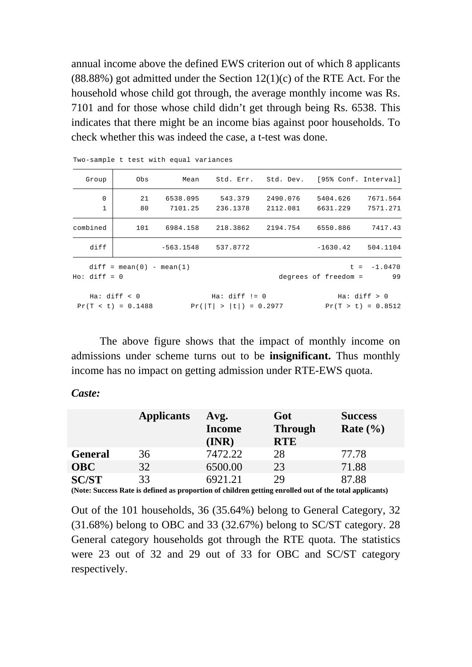annual income above the defined EWS criterion out of which 8 applicants  $(88.88\%)$  got admitted under the Section  $12(1)(c)$  of the RTE Act. For the household whose child got through, the average monthly income was Rs. 7101 and for those whose child didn't get through being Rs. 6538. This indicates that there might be an income bias against poor households. To check whether this was indeed the case, a t-test was done.

| Group                       | Obs                                  | Mean                | Std. Err. Std. Dev. [95% Conf. Interval]    |                      |                      |                                      |
|-----------------------------|--------------------------------------|---------------------|---------------------------------------------|----------------------|----------------------|--------------------------------------|
| $\mathbf 0$<br>$\mathbf{1}$ | 21<br>80                             | 6538.095<br>7101.25 | 543.379<br>236.1378                         | 2490.076<br>2112.081 | 5404.626<br>6631.229 | 7671.564<br>7571.271                 |
| combined                    | 101                                  | 6984.158            | 218.3862                                    | 2194.754             | 6550.886             | 7417.43                              |
| diff                        |                                      | $-563.1548$         | 537.8772                                    |                      | $-1630.42$           | 504.1104                             |
| $Ho: diff = 0$              | $diff = mean(0) - mean(1)$           |                     |                                             |                      | degrees of freedom = | $t = -1.0470$<br>99                  |
|                             | Ha: diff < 0<br>$Pr(T < t) = 0.1488$ |                     | $Ha: diff != 0$<br>$Pr( T  >  t ) = 0.2977$ |                      |                      | Ha: diff > 0<br>$Pr(T > t) = 0.8512$ |

Two-sample t test with equal variances

The above figure shows that the impact of monthly income on admissions under scheme turns out to be **insignificant.** Thus monthly income has no impact on getting admission under RTE-EWS quota.

*Caste:*

|                | <b>Applicants</b> | Avg.<br><b>Income</b><br>(INR) | Got<br><b>Through</b><br><b>RTE</b> | <b>Success</b><br>Rate $(\% )$ |
|----------------|-------------------|--------------------------------|-------------------------------------|--------------------------------|
| <b>General</b> | 36                | 7472.22                        | 28                                  | 77.78                          |
| <b>OBC</b>     | 32                | 6500.00                        | 23                                  | 71.88                          |
| <b>SC/ST</b>   | 33                | 6921.21                        | 29                                  | 87.88                          |

**(Note: Success Rate is defined as proportion of children getting enrolled out of the total applicants)**

Out of the 101 households, 36 (35.64%) belong to General Category, 32 (31.68%) belong to OBC and 33 (32.67%) belong to SC/ST category. 28 General category households got through the RTE quota. The statistics were 23 out of 32 and 29 out of 33 for OBC and SC/ST category respectively.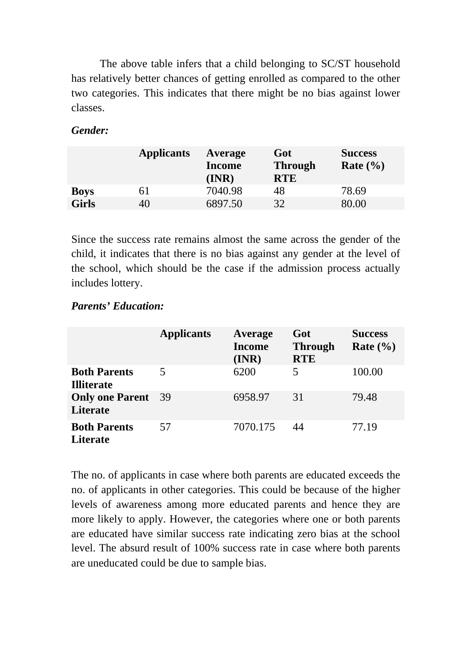The above table infers that a child belonging to SC/ST household has relatively better chances of getting enrolled as compared to the other two categories. This indicates that there might be no bias against lower classes.

#### *Gender:*

|              | <b>Applicants</b> | <b>Average</b><br><b>Income</b><br>(INR) | Got<br><b>Through</b><br><b>RTE</b> | <b>Success</b><br>Rate $(\% )$ |
|--------------|-------------------|------------------------------------------|-------------------------------------|--------------------------------|
| <b>Boys</b>  | 61                | 7040.98                                  | 48                                  | 78.69                          |
| <b>Girls</b> | 40                | 6897.50                                  | 32                                  | 80.00                          |

Since the success rate remains almost the same across the gender of the child, it indicates that there is no bias against any gender at the level of the school, which should be the case if the admission process actually includes lottery.

#### *Parents' Education:*

|                                          | <b>Applicants</b> | Average<br><b>Income</b><br>(INR) | Got<br><b>Through</b><br><b>RTE</b> | <b>Success</b><br>Rate $(\% )$ |
|------------------------------------------|-------------------|-----------------------------------|-------------------------------------|--------------------------------|
| <b>Both Parents</b><br><b>Illiterate</b> |                   | 6200                              | 5                                   | 100.00                         |
| <b>Only one Parent</b><br>Literate       | - 39              | 6958.97                           | 31                                  | 79.48                          |
| <b>Both Parents</b><br><b>Literate</b>   | 57                | 7070.175                          | 44                                  | 77.19                          |

The no. of applicants in case where both parents are educated exceeds the no. of applicants in other categories. This could be because of the higher levels of awareness among more educated parents and hence they are more likely to apply. However, the categories where one or both parents are educated have similar success rate indicating zero bias at the school level. The absurd result of 100% success rate in case where both parents are uneducated could be due to sample bias.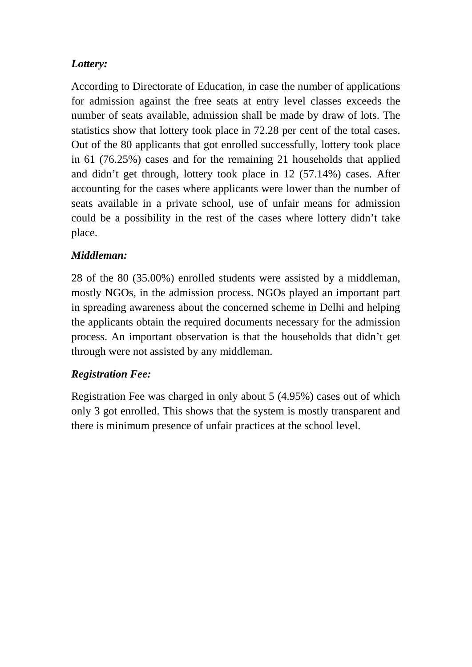### *Lottery:*

According to Directorate of Education, in case the number of applications for admission against the free seats at entry level classes exceeds the number of seats available, admission shall be made by draw of lots. The statistics show that lottery took place in 72.28 per cent of the total cases. Out of the 80 applicants that got enrolled successfully, lottery took place in 61 (76.25%) cases and for the remaining 21 households that applied and didn't get through, lottery took place in 12 (57.14%) cases. After accounting for the cases where applicants were lower than the number of seats available in a private school, use of unfair means for admission could be a possibility in the rest of the cases where lottery didn't take place.

### *Middleman:*

28 of the 80 (35.00%) enrolled students were assisted by a middleman, mostly NGOs, in the admission process. NGOs played an important part in spreading awareness about the concerned scheme in Delhi and helping the applicants obtain the required documents necessary for the admission process. An important observation is that the households that didn't get through were not assisted by any middleman.

### *Registration Fee:*

Registration Fee was charged in only about 5 (4.95%) cases out of which only 3 got enrolled. This shows that the system is mostly transparent and there is minimum presence of unfair practices at the school level.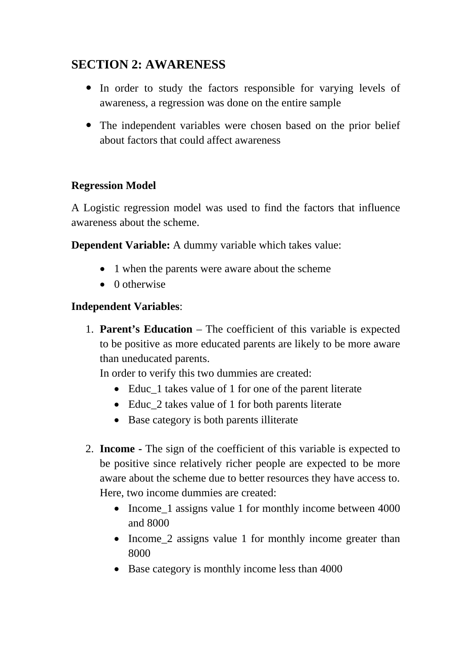# **SECTION 2: AWARENESS**

- In order to study the factors responsible for varying levels of awareness, a regression was done on the entire sample
- The independent variables were chosen based on the prior belief about factors that could affect awareness

### **Regression Model**

A Logistic regression model was used to find the factors that influence awareness about the scheme.

**Dependent Variable:** A dummy variable which takes value:

- 1 when the parents were aware about the scheme
- 0 otherwise

### **Independent Variables**:

1. **Parent's Education** – The coefficient of this variable is expected to be positive as more educated parents are likely to be more aware than uneducated parents.

In order to verify this two dummies are created:

- Educ<sub>1</sub> takes value of 1 for one of the parent literate
- Educ\_2 takes value of 1 for both parents literate
- Base category is both parents illiterate
- 2. **Income -** The sign of the coefficient of this variable is expected to be positive since relatively richer people are expected to be more aware about the scheme due to better resources they have access to. Here, two income dummies are created:
	- Income 1 assigns value 1 for monthly income between 4000 and 8000
	- Income 2 assigns value 1 for monthly income greater than 8000
	- Base category is monthly income less than 4000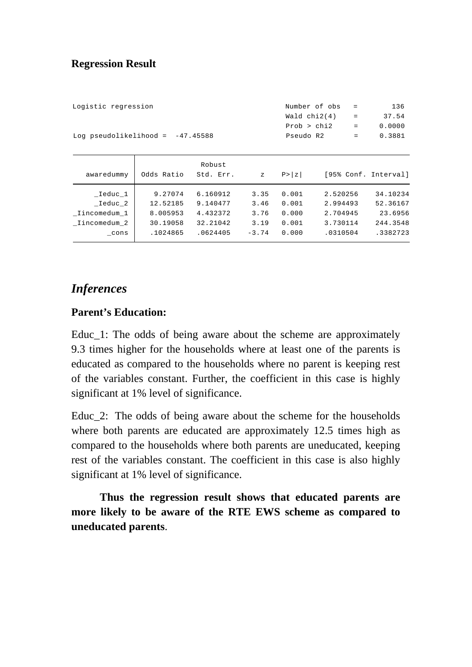#### **Regression Result**

| Logistic regression                | Number of obs  | $\sim$ $\sim$ $\sim$       | 136    |
|------------------------------------|----------------|----------------------------|--------|
|                                    | Wald $chi2(4)$ | $\sim$ 100 $\pm$ 100 $\pm$ | 37.54  |
|                                    | Prob > chi2    | $=$                        | 0.0000 |
| Log pseudolikelihood = $-47.45588$ | Pseudo R2      | $=$ $-$                    | 0.3881 |
|                                    |                |                            |        |

| awaredummy   | Odds Ratio | Robust<br>Std. Err. | $\mathbf{z}$ | P >  z |          | [95% Conf. Interval] |
|--------------|------------|---------------------|--------------|--------|----------|----------------------|
|              |            |                     |              |        |          |                      |
| Ieduc 1      | 9.27074    | 6.160912            | 3.35         | 0.001  | 2.520256 | 34.10234             |
| Ieduc 2      | 12.52185   | 9.140477            | 3.46         | 0.001  | 2.994493 | 52.36167             |
| Iincomedum 1 | 8.005953   | 4.432372            | 3.76         | 0.000  | 2.704945 | 23.6956              |
| Iincomedum 2 | 30.19058   | 32.21042            | 3.19         | 0.001  | 3.730114 | 244.3548             |
| cons         | .1024865   | .0624405            | $-3.74$      | 0.000  | .0310504 | .3382723             |
|              |            |                     |              |        |          |                      |

### *Inferences*

#### **Parent's Education:**

Educ\_1: The odds of being aware about the scheme are approximately 9.3 times higher for the households where at least one of the parents is educated as compared to the households where no parent is keeping rest of the variables constant. Further, the coefficient in this case is highly significant at 1% level of significance.

Educ 2: The odds of being aware about the scheme for the households where both parents are educated are approximately 12.5 times high as compared to the households where both parents are uneducated, keeping rest of the variables constant. The coefficient in this case is also highly significant at 1% level of significance.

**Thus the regression result shows that educated parents are more likely to be aware of the RTE EWS scheme as compared to uneducated parents**.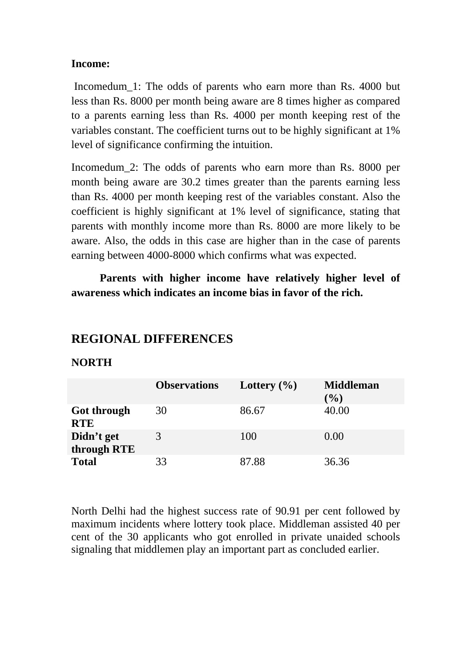#### **Income:**

Incomedum 1: The odds of parents who earn more than Rs. 4000 but less than Rs. 8000 per month being aware are 8 times higher as compared to a parents earning less than Rs. 4000 per month keeping rest of the variables constant. The coefficient turns out to be highly significant at 1% level of significance confirming the intuition.

Incomedum\_2: The odds of parents who earn more than Rs. 8000 per month being aware are 30.2 times greater than the parents earning less than Rs. 4000 per month keeping rest of the variables constant. Also the coefficient is highly significant at 1% level of significance, stating that parents with monthly income more than Rs. 8000 are more likely to be aware. Also, the odds in this case are higher than in the case of parents earning between 4000-8000 which confirms what was expected.

**Parents with higher income have relatively higher level of awareness which indicates an income bias in favor of the rich.**

### **REGIONAL DIFFERENCES**

#### **NORTH**

|                           | <b>Observations</b> | Lottery $(\% )$ | <b>Middleman</b><br>$(\%)$ |
|---------------------------|---------------------|-----------------|----------------------------|
| Got through<br><b>RTE</b> | 30                  | 86.67           | 40.00                      |
| Didn't get<br>through RTE |                     | 100             | 0.00                       |
| <b>Total</b>              | 33                  | 87.88           | 36.36                      |

North Delhi had the highest success rate of 90.91 per cent followed by maximum incidents where lottery took place. Middleman assisted 40 per cent of the 30 applicants who got enrolled in private unaided schools signaling that middlemen play an important part as concluded earlier.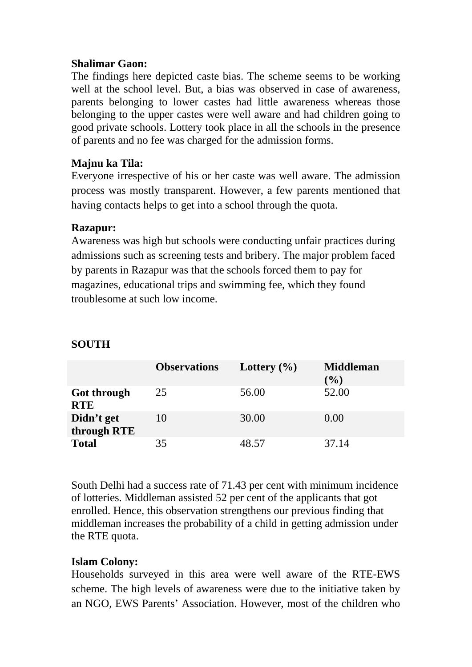#### **Shalimar Gaon:**

The findings here depicted caste bias. The scheme seems to be working well at the school level. But, a bias was observed in case of awareness, parents belonging to lower castes had little awareness whereas those belonging to the upper castes were well aware and had children going to good private schools. Lottery took place in all the schools in the presence of parents and no fee was charged for the admission forms.

### **Majnu ka Tila:**

Everyone irrespective of his or her caste was well aware. The admission process was mostly transparent. However, a few parents mentioned that having contacts helps to get into a school through the quota.

#### **Razapur:**

Awareness was high but schools were conducting unfair practices during admissions such as screening tests and bribery. The major problem faced by parents in Razapur was that the schools forced them to pay for magazines, educational trips and swimming fee, which they found troublesome at such low income.

|                           | <b>Observations</b> | Lottery $(\% )$ | <b>Middleman</b><br>$(\%)$ |
|---------------------------|---------------------|-----------------|----------------------------|
| Got through<br><b>RTE</b> | 25                  | 56.00           | 52.00                      |
| Didn't get<br>through RTE | 10                  | 30.00           | 0.00                       |
| <b>Total</b>              | 35                  | 48.57           | 37.14                      |

### **SOUTH**

South Delhi had a success rate of 71.43 per cent with minimum incidence of lotteries. Middleman assisted 52 per cent of the applicants that got enrolled. Hence, this observation strengthens our previous finding that middleman increases the probability of a child in getting admission under the RTE quota.

#### **Islam Colony:**

Households surveyed in this area were well aware of the RTE-EWS scheme. The high levels of awareness were due to the initiative taken by an NGO, EWS Parents' Association. However, most of the children who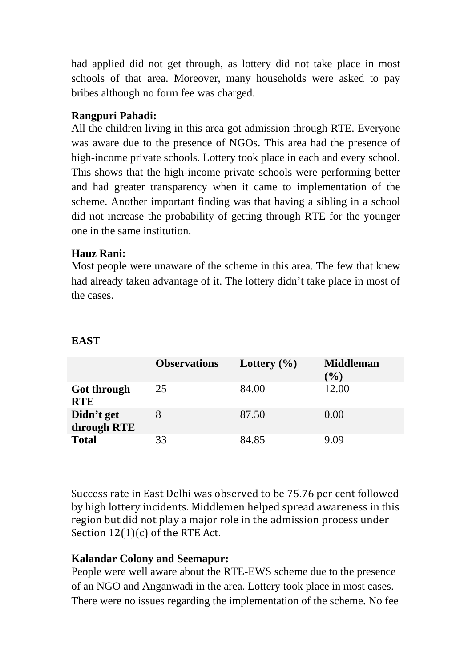had applied did not get through, as lottery did not take place in most schools of that area. Moreover, many households were asked to pay bribes although no form fee was charged.

### **Rangpuri Pahadi:**

All the children living in this area got admission through RTE. Everyone was aware due to the presence of NGOs. This area had the presence of high-income private schools. Lottery took place in each and every school. This shows that the high-income private schools were performing better and had greater transparency when it came to implementation of the scheme. Another important finding was that having a sibling in a school did not increase the probability of getting through RTE for the younger one in the same institution.

### **Hauz Rani:**

Most people were unaware of the scheme in this area. The few that knew had already taken advantage of it. The lottery didn't take place in most of the cases.

|                           | <b>Observations</b> | Lottery $(\% )$ | <b>Middleman</b><br>$(\%)$ |
|---------------------------|---------------------|-----------------|----------------------------|
| Got through<br><b>RTE</b> | 25                  | 84.00           | 12.00                      |
| Didn't get<br>through RTE |                     | 87.50           | 0.00                       |
| <b>Total</b>              | 33                  | 84.85           | 9 ()9                      |

### **EAST**

Success rate in East Delhi was observed to be 75.76 per cent followed by high lottery incidents. Middlemen helped spread awareness in this region but did not play a major role in the admission process under Section 12(1)(c) of the RTE Act.

### **Kalandar Colony and Seemapur:**

People were well aware about the RTE-EWS scheme due to the presence of an NGO and Anganwadi in the area. Lottery took place in most cases. There were no issues regarding the implementation of the scheme. No fee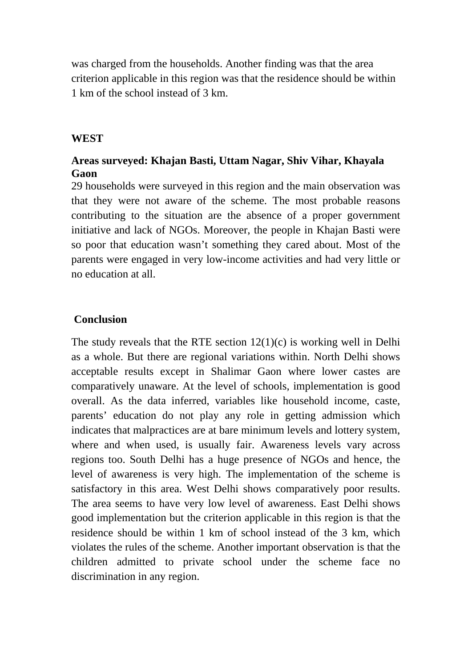was charged from the households. Another finding was that the area criterion applicable in this region was that the residence should be within 1 km of the school instead of 3 km.

#### **WEST**

### **Areas surveyed: Khajan Basti, Uttam Nagar, Shiv Vihar, Khayala Gaon**

29 households were surveyed in this region and the main observation was that they were not aware of the scheme. The most probable reasons contributing to the situation are the absence of a proper government initiative and lack of NGOs. Moreover, the people in Khajan Basti were so poor that education wasn't something they cared about. Most of the parents were engaged in very low-income activities and had very little or no education at all.

#### **Conclusion**

The study reveals that the RTE section 12(1)(c) is working well in Delhi as a whole. But there are regional variations within. North Delhi shows acceptable results except in Shalimar Gaon where lower castes are comparatively unaware. At the level of schools, implementation is good overall. As the data inferred, variables like household income, caste, parents' education do not play any role in getting admission which indicates that malpractices are at bare minimum levels and lottery system, where and when used, is usually fair. Awareness levels vary across regions too. South Delhi has a huge presence of NGOs and hence, the level of awareness is very high. The implementation of the scheme is satisfactory in this area. West Delhi shows comparatively poor results. The area seems to have very low level of awareness. East Delhi shows good implementation but the criterion applicable in this region is that the residence should be within 1 km of school instead of the 3 km, which violates the rules of the scheme. Another important observation is that the children admitted to private school under the scheme face no discrimination in any region.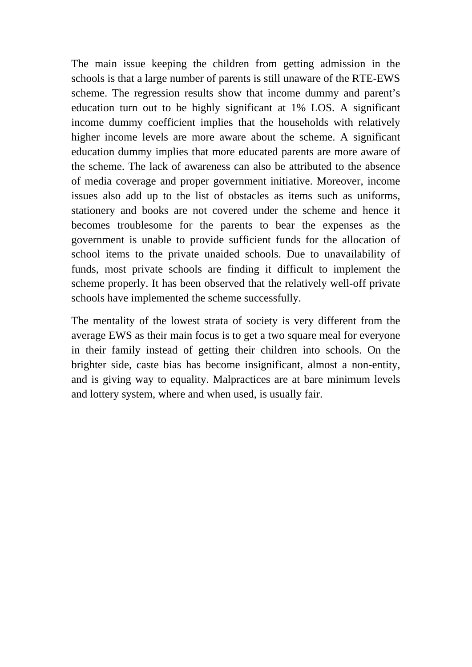The main issue keeping the children from getting admission in the schools is that a large number of parents is still unaware of the RTE-EWS scheme. The regression results show that income dummy and parent's education turn out to be highly significant at 1% LOS. A significant income dummy coefficient implies that the households with relatively higher income levels are more aware about the scheme. A significant education dummy implies that more educated parents are more aware of the scheme. The lack of awareness can also be attributed to the absence of media coverage and proper government initiative. Moreover, income issues also add up to the list of obstacles as items such as uniforms, stationery and books are not covered under the scheme and hence it becomes troublesome for the parents to bear the expenses as the government is unable to provide sufficient funds for the allocation of school items to the private unaided schools. Due to unavailability of funds, most private schools are finding it difficult to implement the scheme properly. It has been observed that the relatively well-off private schools have implemented the scheme successfully.

The mentality of the lowest strata of society is very different from the average EWS as their main focus is to get a two square meal for everyone in their family instead of getting their children into schools. On the brighter side, caste bias has become insignificant, almost a non-entity, and is giving way to equality. Malpractices are at bare minimum levels and lottery system, where and when used, is usually fair.